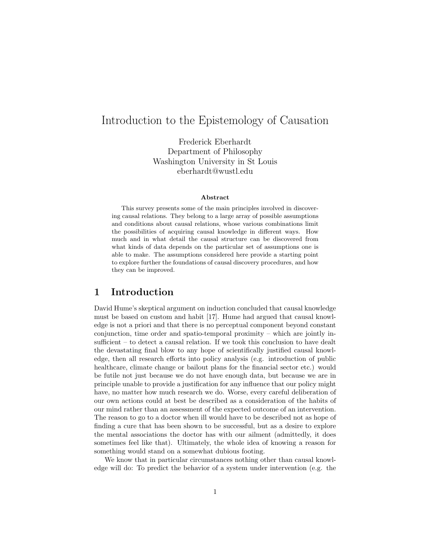# Introduction to the Epistemology of Causation

Frederick Eberhardt Department of Philosophy Washington University in St Louis eberhardt@wustl.edu

#### Abstract

This survey presents some of the main principles involved in discovering causal relations. They belong to a large array of possible assumptions and conditions about causal relations, whose various combinations limit the possibilities of acquiring causal knowledge in different ways. How much and in what detail the causal structure can be discovered from what kinds of data depends on the particular set of assumptions one is able to make. The assumptions considered here provide a starting point to explore further the foundations of causal discovery procedures, and how they can be improved.

### 1 Introduction

David Hume's skeptical argument on induction concluded that causal knowledge must be based on custom and habit [17]. Hume had argued that causal knowledge is not a priori and that there is no perceptual component beyond constant conjunction, time order and spatio-temporal proximity – which are jointly insufficient – to detect a causal relation. If we took this conclusion to have dealt the devastating final blow to any hope of scientifically justified causal knowledge, then all research efforts into policy analysis (e.g. introduction of public healthcare, climate change or bailout plans for the financial sector etc.) would be futile not just because we do not have enough data, but because we are in principle unable to provide a justification for any influence that our policy might have, no matter how much research we do. Worse, every careful deliberation of our own actions could at best be described as a consideration of the habits of our mind rather than an assessment of the expected outcome of an intervention. The reason to go to a doctor when ill would have to be described not as hope of finding a cure that has been shown to be successful, but as a desire to explore the mental associations the doctor has with our ailment (admittedly, it does sometimes feel like that). Ultimately, the whole idea of knowing a reason for something would stand on a somewhat dubious footing.

We know that in particular circumstances nothing other than causal knowledge will do: To predict the behavior of a system under intervention (e.g. the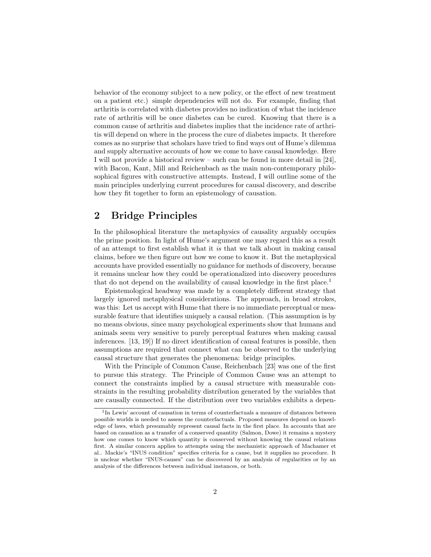behavior of the economy subject to a new policy, or the effect of new treatment on a patient etc.) simple dependencies will not do. For example, finding that arthritis is correlated with diabetes provides no indication of what the incidence rate of arthritis will be once diabetes can be cured. Knowing that there is a common cause of arthritis and diabetes implies that the incidence rate of arthritis will depend on where in the process the cure of diabetes impacts. It therefore comes as no surprise that scholars have tried to find ways out of Hume's dilemma and supply alternative accounts of how we come to have causal knowledge. Here I will not provide a historical review – such can be found in more detail in [24], with Bacon, Kant, Mill and Reichenbach as the main non-contemporary philosophical figures with constructive attempts. Instead, I will outline some of the main principles underlying current procedures for causal discovery, and describe how they fit together to form an epistemology of causation.

## 2 Bridge Principles

In the philosophical literature the metaphysics of causality arguably occupies the prime position. In light of Hume's argument one may regard this as a result of an attempt to first establish what it *is* that we talk about in making causal claims, before we then figure out how we come to know it. But the metaphysical accounts have provided essentially no guidance for methods of discovery, because it remains unclear how they could be operationalized into discovery procedures that do not depend on the availability of causal knowledge in the first place.<sup>1</sup>

Epistemological headway was made by a completely different strategy that largely ignored metaphysical considerations. The approach, in broad strokes, was this: Let us accept with Hume that there is no immediate perceptual or measurable feature that identifies uniquely a causal relation. (This assumption is by no means obvious, since many psychological experiments show that humans and animals seem very sensitive to purely perceptual features when making causal inferences. [13, 19]) If no direct identification of causal features is possible, then assumptions are required that connect what can be observed to the underlying causal structure that generates the phenomena: bridge principles.

With the Principle of Common Cause, Reichenbach [23] was one of the first to pursue this strategy. The Principle of Common Cause was an attempt to connect the constraints implied by a causal structure with measurable constraints in the resulting probability distribution generated by the variables that are causally connected. If the distribution over two variables exhibits a depen-

<sup>&</sup>lt;sup>1</sup>In Lewis' account of causation in terms of counterfactuals a measure of distances between possible worlds is needed to assess the counterfactuals. Proposed measures depend on knowledge of laws, which presumably represent causal facts in the first place. In accounts that are based on causation as a transfer of a conserved quantity (Salmon, Dowe) it remains a mystery how one comes to know which quantity is conserved without knowing the causal relations first. A similar concern applies to attempts using the mechanistic approach of Machamer et al.. Mackie's "INUS condition" specifies criteria for a cause, but it supplies no procedure. It is unclear whether "INUS-causes" can be discovered by an analysis of regularities or by an analysis of the differences between individual instances, or both.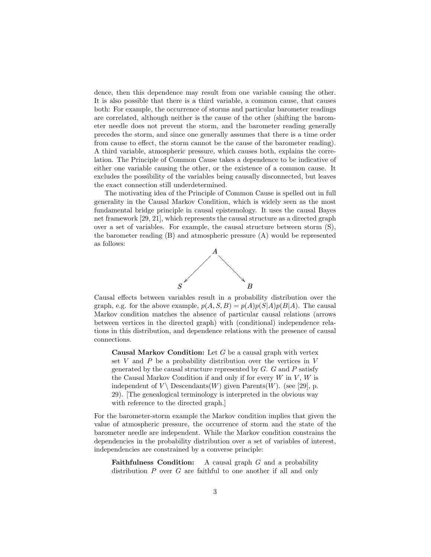dence, then this dependence may result from one variable causing the other. It is also possible that there is a third variable, a common cause, that causes both: For example, the occurrence of storms and particular barometer readings are correlated, although neither is the cause of the other (shifting the barometer needle does not prevent the storm, and the barometer reading generally precedes the storm, and since one generally assumes that there is a time order from cause to effect, the storm cannot be the cause of the barometer reading). A third variable, atmospheric pressure, which causes both, explains the correlation. The Principle of Common Cause takes a dependence to be indicative of either one variable causing the other, or the existence of a common cause. It excludes the possibility of the variables being causally disconnected, but leaves the exact connection still underdetermined.

The motivating idea of the Principle of Common Cause is spelled out in full generality in the Causal Markov Condition, which is widely seen as the most fundamental bridge principle in causal epistemology. It uses the causal Bayes net framework [29, 21], which represents the causal structure as a directed graph over a set of variables. For example, the causal structure between storm (S), the barometer reading (B) and atmospheric pressure (A) would be represented as follows:



Causal effects between variables result in a probability distribution over the graph, e.g. for the above example,  $p(A, S, B) = p(A)p(S|A)p(B|A)$ . The causal Markov condition matches the absence of particular causal relations (arrows between vertices in the directed graph) with (conditional) independence relations in this distribution, and dependence relations with the presence of causal connections.

Causal Markov Condition: Let *G* be a causal graph with vertex set *V* and *P* be a probability distribution over the vertices in *V* generated by the causal structure represented by *G*. *G* and *P* satisfy the Causal Markov Condition if and only if for every  $W$  in  $V$ ,  $W$  is independent of  $V \backslash$  Descendants(*W*) given Parents(*W*). (see [29], p. 29). [The genealogical terminology is interpreted in the obvious way with reference to the directed graph.]

For the barometer-storm example the Markov condition implies that given the value of atmospheric pressure, the occurrence of storm and the state of the barometer needle are independent. While the Markov condition constrains the dependencies in the probability distribution over a set of variables of interest, independencies are constrained by a converse principle:

Faithfulness Condition: A causal graph *G* and a probability distribution *P* over *G* are faithful to one another if all and only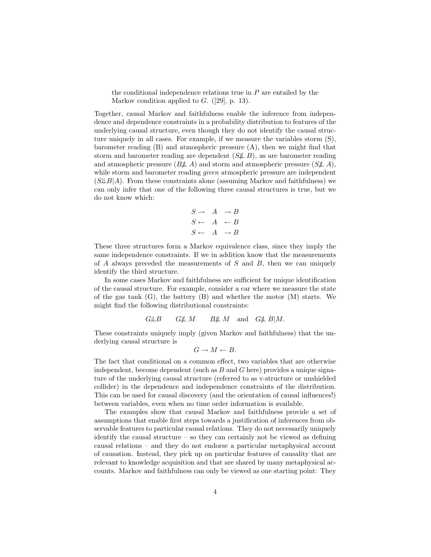the conditional independence relations true in *P* are entailed by the Markov condition applied to *G*. ([29], p. 13).

Together, causal Markov and faithfulness enable the inference from independence and dependence constraints in a probability distribution to features of the underlying causal structure, even though they do not identify the causal structure uniquely in all cases. For example, if we measure the variables storm (S), barometer reading (B) and atmospheric pressure (A), then we might find that storm and barometer reading are dependent (*S*<sup>⊥</sup><sub>*B*</sub>), as are barometer reading and atmospheric pressure  $(B\mathcal{L} A)$  and storm and atmospheric pressure  $(S\mathcal{L} A)$ , while storm and barometer reading *given* atmospheric pressure are independent  $(S \perp B | A)$ . From these constraints alone (assuming Markov and faithfulness) we can only infer that one of the following three causal structures is true, but we do not know which:

$$
S \rightarrow A \rightarrow B
$$
  

$$
S \leftarrow A \leftarrow B
$$
  

$$
S \leftarrow A \rightarrow B
$$

These three structures form a Markov equivalence class, since they imply the same independence constraints. If we in addition know that the measurements of *A* always preceded the measurements of *S* and *B*, then we can uniquely identify the third structure.

In some cases Markov and faithfulness are sufficient for unique identification of the causal structure. For example, consider a car where we measure the state of the gas tank  $(G)$ , the battery  $(B)$  and whether the motor  $(M)$  starts. We might find the following distributional constraints:

$$
G \perp \!\!\! \perp B \qquad G \not\!\! \perp M \qquad B \not\!\! \perp M \quad \text{and} \quad G \not\!\! \perp B \vert M.
$$

These constraints uniquely imply (given Markov and faithfulness) that the underlying causal structure is

$$
G \to M \leftarrow B.
$$

The fact that conditional on a common effect, two variables that are otherwise independent, become dependent (such as *B* and *G* here) provides a unique signature of the underlying causal structure (referred to as v-structure or unshielded collider) in the dependence and independence constraints of the distribution. This can be used for causal discovery (and the orientation of causal influences!) between variables, even when no time order information is available.

The examples show that causal Markov and faithfulness provide a set of assumptions that enable first steps towards a justification of inferences from observable features to particular causal relations. They do not necessarily uniquely identify the causal structure – so they can certainly not be viewed as defining causal relations – and they do not endorse a particular metaphysical account of causation. Instead, they pick up on particular features of causality that are relevant to knowledge acquisition and that are shared by many metaphysical accounts. Markov and faithfulness can only be viewed as one starting point: They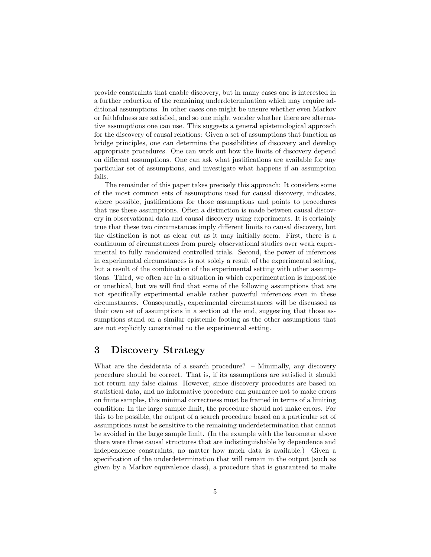provide constraints that enable discovery, but in many cases one is interested in a further reduction of the remaining underdetermination which may require additional assumptions. In other cases one might be unsure whether even Markov or faithfulness are satisfied, and so one might wonder whether there are alternative assumptions one can use. This suggests a general epistemological approach for the discovery of causal relations: Given a set of assumptions that function as bridge principles, one can determine the possibilities of discovery and develop appropriate procedures. One can work out how the limits of discovery depend on different assumptions. One can ask what justifications are available for any particular set of assumptions, and investigate what happens if an assumption fails.

The remainder of this paper takes precisely this approach: It considers some of the most common sets of assumptions used for causal discovery, indicates, where possible, justifications for those assumptions and points to procedures that use these assumptions. Often a distinction is made between causal discovery in observational data and causal discovery using experiments. It is certainly true that these two circumstances imply different limits to causal discovery, but the distinction is not as clear cut as it may initially seem. First, there is a continuum of circumstances from purely observational studies over weak experimental to fully randomized controlled trials. Second, the power of inferences in experimental circumstances is not solely a result of the experimental setting, but a result of the combination of the experimental setting with other assumptions. Third, we often are in a situation in which experimentation is impossible or unethical, but we will find that some of the following assumptions that are not specifically experimental enable rather powerful inferences even in these circumstances. Consequently, experimental circumstances will be discussed as their own set of assumptions in a section at the end, suggesting that those assumptions stand on a similar epistemic footing as the other assumptions that are not explicitly constrained to the experimental setting.

### 3 Discovery Strategy

What are the desiderata of a search procedure? – Minimally, any discovery procedure should be correct. That is, if its assumptions are satisfied it should not return any false claims. However, since discovery procedures are based on statistical data, and no informative procedure can guarantee not to make errors on finite samples, this minimal correctness must be framed in terms of a limiting condition: In the large sample limit, the procedure should not make errors. For this to be possible, the output of a search procedure based on a particular set of assumptions must be sensitive to the remaining underdetermination that cannot be avoided in the large sample limit. (In the example with the barometer above there were three causal structures that are indistinguishable by dependence and independence constraints, no matter how much data is available.) Given a specification of the underdetermination that will remain in the output (such as given by a Markov equivalence class), a procedure that is guaranteed to make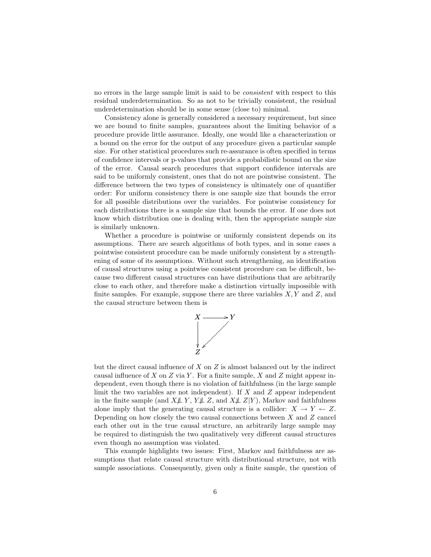no errors in the large sample limit is said to be *consistent* with respect to this residual underdetermination. So as not to be trivially consistent, the residual underdetermination should be in some sense (close to) minimal.

Consistency alone is generally considered a necessary requirement, but since we are bound to finite samples, guarantees about the limiting behavior of a procedure provide little assurance. Ideally, one would like a characterization or a bound on the error for the output of any procedure given a particular sample size. For other statistical procedures such re-assurance is often specified in terms of confidence intervals or p-values that provide a probabilistic bound on the size of the error. Causal search procedures that support confidence intervals are said to be uniformly consistent, ones that do not are pointwise consistent. The difference between the two types of consistency is ultimately one of quantifier order: For uniform consistency there is one sample size that bounds the error for all possible distributions over the variables. For pointwise consistency for each distributions there is a sample size that bounds the error. If one does not know which distribution one is dealing with, then the appropriate sample size is similarly unknown.

Whether a procedure is pointwise or uniformly consistent depends on its assumptions. There are search algorithms of both types, and in some cases a pointwise consistent procedure can be made uniformly consistent by a strengthening of some of its assumptions. Without such strengthening, an identification of causal structures using a pointwise consistent procedure can be difficult, because two different causal structures can have distributions that are arbitrarily close to each other, and therefore make a distinction virtually impossible with finite samples. For example, suppose there are three variables *X, Y* and *Z*, and the causal structure between them is



but the direct causal influence of *X* on *Z* is almost balanced out by the indirect causal influence of *X* on *Z* via *Y* . For a finite sample, *X* and *Z* might appear independent, even though there is no violation of faithfulness (in the large sample limit the two variables are not independent). If *X* and *Z* appear independent in the finite sample (and  $X\perp\!\!\!\perp Y$ ,  $Y\perp\!\!\!\perp Z$ , and  $X\perp\!\!\!\perp Z|Y$ ), Markov and faithfulness alone imply that the generating causal structure is a collider:  $X \to Y \leftarrow Z$ . Depending on how closely the two causal connections between *X* and *Z* cancel each other out in the true causal structure, an arbitrarily large sample may be required to distinguish the two qualitatively very different causal structures even though no assumption was violated.

This example highlights two issues: First, Markov and faithfulness are assumptions that relate causal structure with distributional structure, not with sample associations. Consequently, given only a finite sample, the question of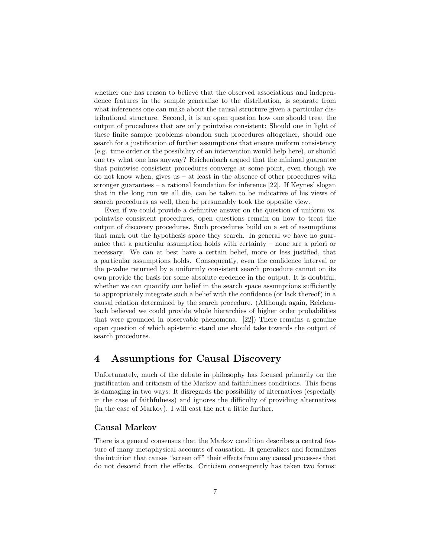whether one has reason to believe that the observed associations and independence features in the sample generalize to the distribution, is separate from what inferences one can make about the causal structure given a particular distributional structure. Second, it is an open question how one should treat the output of procedures that are only pointwise consistent: Should one in light of these finite sample problems abandon such procedures altogether, should one search for a justification of further assumptions that ensure uniform consistency (e.g. time order or the possibility of an intervention would help here), or should one try what one has anyway? Reichenbach argued that the minimal guarantee that pointwise consistent procedures converge at some point, even though we do not know when, gives us – at least in the absence of other procedures with stronger guarantees – a rational foundation for inference  $[22]$ . If Keynes' slogan that in the long run we all die, can be taken to be indicative of his views of search procedures as well, then he presumably took the opposite view.

Even if we could provide a definitive answer on the question of uniform vs. pointwise consistent procedures, open questions remain on how to treat the output of discovery procedures. Such procedures build on a set of assumptions that mark out the hypothesis space they search. In general we have no guarantee that a particular assumption holds with certainty – none are a priori or necessary. We can at best have a certain belief, more or less justified, that a particular assumptions holds. Consequently, even the confidence interval or the p-value returned by a uniformly consistent search procedure cannot on its own provide the basis for some absolute credence in the output. It is doubtful, whether we can quantify our belief in the search space assumptions sufficiently to appropriately integrate such a belief with the confidence (or lack thereof) in a causal relation determined by the search procedure. (Although again, Reichenbach believed we could provide whole hierarchies of higher order probabilities that were grounded in observable phenomena. [22]) There remains a genuine open question of which epistemic stand one should take towards the output of search procedures.

## 4 Assumptions for Causal Discovery

Unfortunately, much of the debate in philosophy has focused primarily on the justification and criticism of the Markov and faithfulness conditions. This focus is damaging in two ways: It disregards the possibility of alternatives (especially in the case of faithfulness) and ignores the difficulty of providing alternatives (in the case of Markov). I will cast the net a little further.

#### Causal Markov

There is a general consensus that the Markov condition describes a central feature of many metaphysical accounts of causation. It generalizes and formalizes the intuition that causes "screen off" their effects from any causal processes that do not descend from the effects. Criticism consequently has taken two forms: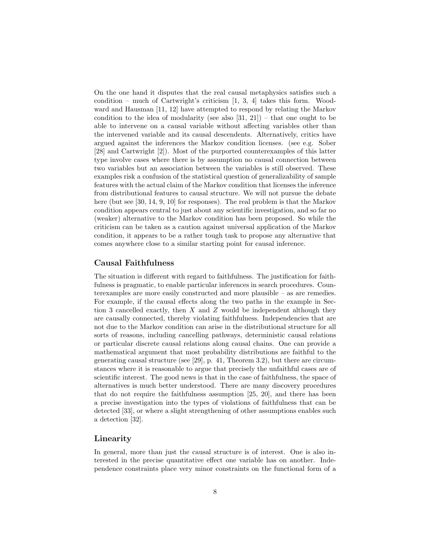On the one hand it disputes that the real causal metaphysics satisfies such a condition – much of Cartwright's criticism  $[1, 3, 4]$  takes this form. Woodward and Hausman [11, 12] have attempted to respond by relating the Markov condition to the idea of modularity (see also  $[31, 21]$ ) – that one ought to be able to intervene on a causal variable without affecting variables other than the intervened variable and its causal descendents. Alternatively, critics have argued against the inferences the Markov condition licenses. (see e.g. Sober [28] and Cartwright [2]). Most of the purported counterexamples of this latter type involve cases where there is by assumption no causal connection between two variables but an association between the variables is still observed. These examples risk a confusion of the statistical question of generalizability of sample features with the actual claim of the Markov condition that licenses the inference from distributional features to causal structure. We will not pursue the debate here (but see [30, 14, 9, 10] for responses). The real problem is that the Markov condition appears central to just about any scientific investigation, and so far no (weaker) alternative to the Markov condition has been proposed. So while the criticism can be taken as a caution against universal application of the Markov condition, it appears to be a rather tough task to propose any alternative that comes anywhere close to a similar starting point for causal inference.

#### Causal Faithfulness

The situation is different with regard to faithfulness. The justification for faithfulness is pragmatic, to enable particular inferences in search procedures. Counterexamples are more easily constructed and more plausible – as are remedies. For example, if the causal effects along the two paths in the example in Section 3 cancelled exactly, then *X* and *Z* would be independent although they are causally connected, thereby violating faithfulness. Independencies that are not due to the Markov condition can arise in the distributional structure for all sorts of reasons, including cancelling pathways, deterministic causal relations or particular discrete causal relations along causal chains. One can provide a mathematical argument that most probability distributions are faithful to the generating causal structure (see [29], p. 41, Theorem 3.2), but there are circumstances where it is reasonable to argue that precisely the unfaithful cases are of scientific interest. The good news is that in the case of faithfulness, the space of alternatives is much better understood. There are many discovery procedures that do not require the faithfulness assumption [25, 20], and there has been a precise investigation into the types of violations of faithfulness that can be detected [33], or where a slight strengthening of other assumptions enables such a detection [32].

#### Linearity

In general, more than just the causal structure is of interest. One is also interested in the precise quantitative effect one variable has on another. Independence constraints place very minor constraints on the functional form of a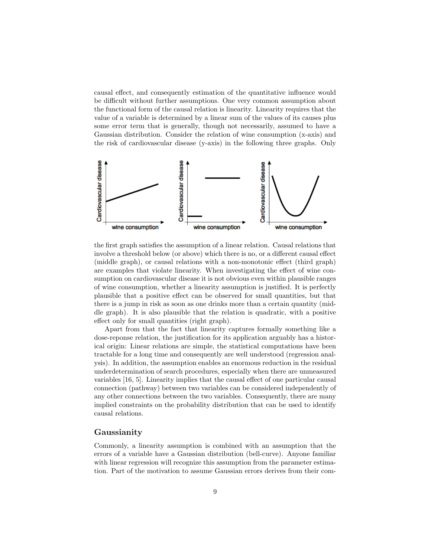causal effect, and consequently estimation of the quantitative influence would be difficult without further assumptions. One very common assumption about the functional form of the causal relation is linearity. Linearity requires that the value of a variable is determined by a linear sum of the values of its causes plus some error term that is generally, though not necessarily, assumed to have a Gaussian distribution. Consider the relation of wine consumption (x-axis) and the risk of cardiovascular disease (y-axis) in the following three graphs. Only



the first graph satisfies the assumption of a linear relation. Causal relations that involve a threshold below (or above) which there is no, or a different causal effect (middle graph), or causal relations with a non-monotonic effect (third graph) are examples that violate linearity. When investigating the effect of wine consumption on cardiovascular disease it is not obvious even within plausible ranges of wine consumption, whether a linearity assumption is justified. It is perfectly plausible that a positive effect can be observed for small quantities, but that there is a jump in risk as soon as one drinks more than a certain quantity (middle graph). It is also plausible that the relation is quadratic, with a positive effect only for small quantities (right graph).

Apart from that the fact that linearity captures formally something like a dose-reponse relation, the justification for its application arguably has a historical origin: Linear relations are simple, the statistical computations have been tractable for a long time and consequently are well understood (regression analysis). In addition, the assumption enables an enormous reduction in the residual underdetermination of search procedures, especially when there are unmeasured variables [16, 5]. Linearity implies that the causal effect of one particular causal connection (pathway) between two variables can be considered independently of any other connections between the two variables. Consequently, there are many implied constraints on the probability distribution that can be used to identify causal relations.

#### Gaussianity

Commonly, a linearity assumption is combined with an assumption that the errors of a variable have a Gaussian distribution (bell-curve). Anyone familiar with linear regression will recognize this assumption from the parameter estimation. Part of the motivation to assume Gaussian errors derives from their com-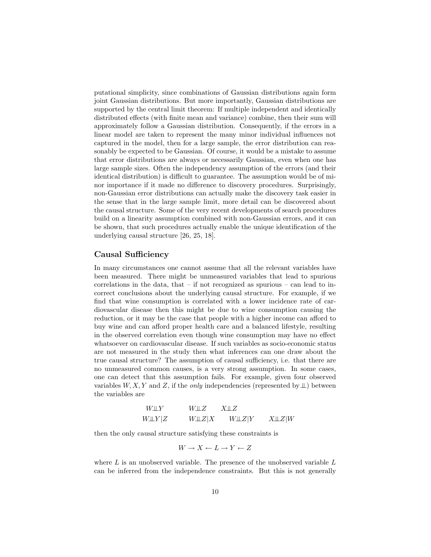putational simplicity, since combinations of Gaussian distributions again form joint Gaussian distributions. But more importantly, Gaussian distributions are supported by the central limit theorem: If multiple independent and identically distributed effects (with finite mean and variance) combine, then their sum will approximately follow a Gaussian distribution. Consequently, if the errors in a linear model are taken to represent the many minor individual influences not captured in the model, then for a large sample, the error distribution can reasonably be expected to be Gaussian. Of course, it would be a mistake to assume that error distributions are always or necessarily Gaussian, even when one has large sample sizes. Often the independency assumption of the errors (and their identical distribution) is difficult to guarantee. The assumption would be of minor importance if it made no difference to discovery procedures. Surprisingly, non-Gaussian error distributions can actually make the discovery task easier in the sense that in the large sample limit, more detail can be discovered about the causal structure. Some of the very recent developments of search procedures build on a linearity assumption combined with non-Gaussian errors, and it can be shown, that such procedures actually enable the unique identification of the underlying causal structure [26, 25, 18].

#### Causal Sufficiency

In many circumstances one cannot assume that all the relevant variables have been measured. There might be unmeasured variables that lead to spurious correlations in the data, that  $-$  if not recognized as spurious  $-$  can lead to incorrect conclusions about the underlying causal structure. For example, if we find that wine consumption is correlated with a lower incidence rate of cardiovascular disease then this might be due to wine consumption causing the reduction, or it may be the case that people with a higher income can afford to buy wine and can afford proper health care and a balanced lifestyle, resulting in the observed correlation even though wine consumption may have no effect whatsoever on cardiovascular disease. If such variables as socio-economic status are not measured in the study then what inferences can one draw about the true causal structure? The assumption of causal sufficiency, i.e. that there are no unmeasured common causes, is a very strong assumption. In some cases, one can detect that this assumption fails. For example, given four observed variables  $W, X, Y$  and  $Z$ , if the *only* independencies (represented by  $\perp\!\!\!\perp$ ) between the variables are

$$
\begin{array}{lll}\n & W{\perp\!\!\!\perp}Y & W{\perp\!\!\!\perp}Z & X{\perp\!\!\!\perp}Z \\
& W{\perp\!\!\!\perp}Y|Z & W{\perp\!\!\!\perp}Z|X & W{\perp\!\!\!\perp}Z|Y & X{\perp\!\!\!\perp}Z|W\n\end{array}
$$

then the only causal structure satisfying these constraints is

$$
W \to X \leftarrow L \to Y \leftarrow Z
$$

where *L* is an unobserved variable. The presence of the unobserved variable *L* can be inferred from the independence constraints. But this is not generally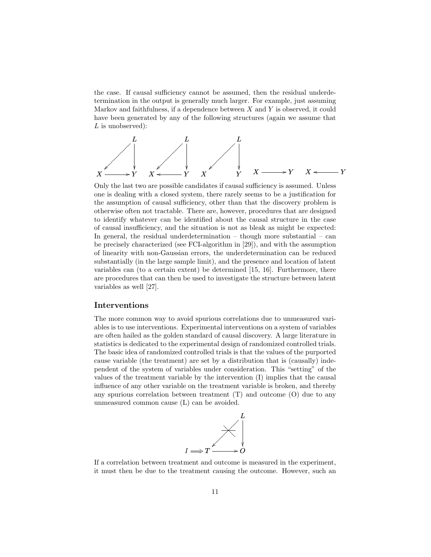the case. If causal sufficiency cannot be assumed, then the residual underdetermination in the output is generally much larger. For example, just assuming Markov and faithfulness, if a dependence between *X* and *Y* is observed, it could have been generated by any of the following structures (again we assume that *L* is unobserved):



Only the last two are possible candidates if causal sufficiency is assumed. Unless one is dealing with a closed system, there rarely seems to be a justification for the assumption of causal sufficiency, other than that the discovery problem is otherwise often not tractable. There are, however, procedures that are designed to identify whatever can be identified about the causal structure in the case of causal insufficiency, and the situation is not as bleak as might be expected: In general, the residual underdetermination – though more substantial – can be precisely characterized (see FCI-algorithm in [29]), and with the assumption of linearity with non-Gaussian errors, the underdetermination can be reduced substantially (in the large sample limit), and the presence and location of latent variables can (to a certain extent) be determined [15, 16]. Furthermore, there are procedures that can then be used to investigate the structure between latent variables as well [27].

#### Interventions

The more common way to avoid spurious correlations due to unmeasured variables is to use interventions. Experimental interventions on a system of variables are often hailed as the golden standard of causal discovery. A large literature in statistics is dedicated to the experimental design of randomized controlled trials. The basic idea of randomized controlled trials is that the values of the purported cause variable (the treatment) are set by a distribution that is (causally) independent of the system of variables under consideration. This "setting" of the values of the treatment variable by the intervention (I) implies that the causal influence of any other variable on the treatment variable is broken, and thereby any spurious correlation between treatment (T) and outcome (O) due to any unmeasured common cause (L) can be avoided.



If a correlation between treatment and outcome is measured in the experiment, it must then be due to the treatment causing the outcome. However, such an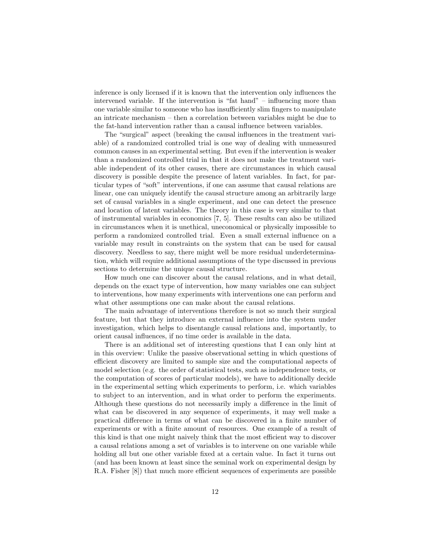inference is only licensed if it is known that the intervention only influences the intervened variable. If the intervention is "fat hand" – influencing more than one variable similar to someone who has insufficiently slim fingers to manipulate an intricate mechanism – then a correlation between variables might be due to the fat-hand intervention rather than a causal influence between variables.

The "surgical" aspect (breaking the causal influences in the treatment variable) of a randomized controlled trial is one way of dealing with unmeasured common causes in an experimental setting. But even if the intervention is weaker than a randomized controlled trial in that it does not make the treatment variable independent of its other causes, there are circumstances in which causal discovery is possible despite the presence of latent variables. In fact, for particular types of "soft" interventions, if one can assume that causal relations are linear, one can uniquely identify the causal structure among an arbitrarily large set of causal variables in a single experiment, and one can detect the presence and location of latent variables. The theory in this case is very similar to that of instrumental variables in economics [7, 5]. These results can also be utilized in circumstances when it is unethical, uneconomical or physically impossible to perform a randomized controlled trial. Even a small external influence on a variable may result in constraints on the system that can be used for causal discovery. Needless to say, there might well be more residual underdetermination, which will require additional assumptions of the type discussed in previous sections to determine the unique causal structure.

How much one can discover about the causal relations, and in what detail, depends on the exact type of intervention, how many variables one can subject to interventions, how many experiments with interventions one can perform and what other assumptions one can make about the causal relations.

The main advantage of interventions therefore is not so much their surgical feature, but that they introduce an external influence into the system under investigation, which helps to disentangle causal relations and, importantly, to orient causal influences, if no time order is available in the data.

There is an additional set of interesting questions that I can only hint at in this overview: Unlike the passive observational setting in which questions of efficient discovery are limited to sample size and the computational aspects of model selection (e.g. the order of statistical tests, such as independence tests, or the computation of scores of particular models), we have to additionally decide in the experimental setting which experiments to perform, i.e. which variables to subject to an intervention, and in what order to perform the experiments. Although these questions do not necessarily imply a difference in the limit of what can be discovered in any sequence of experiments, it may well make a practical difference in terms of what can be discovered in a finite number of experiments or with a finite amount of resources. One example of a result of this kind is that one might naively think that the most efficient way to discover a causal relations among a set of variables is to intervene on one variable while holding all but one other variable fixed at a certain value. In fact it turns out (and has been known at least since the seminal work on experimental design by R.A. Fisher [8]) that much more efficient sequences of experiments are possible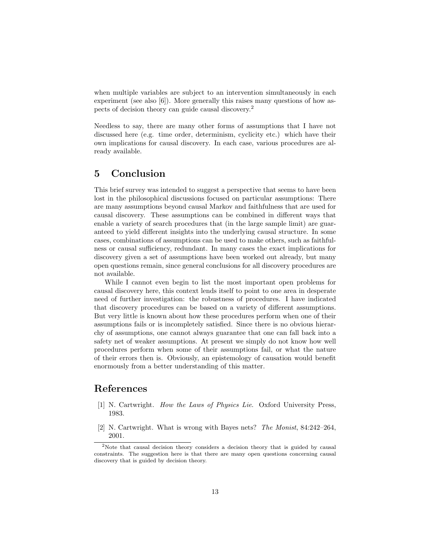when multiple variables are subject to an intervention simultaneously in each experiment (see also [6]). More generally this raises many questions of how aspects of decision theory can guide causal discovery.<sup>2</sup>

Needless to say, there are many other forms of assumptions that I have not discussed here (e.g. time order, determinism, cyclicity etc.) which have their own implications for causal discovery. In each case, various procedures are already available.

## 5 Conclusion

This brief survey was intended to suggest a perspective that seems to have been lost in the philosophical discussions focused on particular assumptions: There are many assumptions beyond causal Markov and faithfulness that are used for causal discovery. These assumptions can be combined in different ways that enable a variety of search procedures that (in the large sample limit) are guaranteed to yield different insights into the underlying causal structure. In some cases, combinations of assumptions can be used to make others, such as faithfulness or causal sufficiency, redundant. In many cases the exact implications for discovery given a set of assumptions have been worked out already, but many open questions remain, since general conclusions for all discovery procedures are not available.

While I cannot even begin to list the most important open problems for causal discovery here, this context lends itself to point to one area in desperate need of further investigation: the robustness of procedures. I have indicated that discovery procedures can be based on a variety of different assumptions. But very little is known about how these procedures perform when one of their assumptions fails or is incompletely satisfied. Since there is no obvious hierarchy of assumptions, one cannot always guarantee that one can fall back into a safety net of weaker assumptions. At present we simply do not know how well procedures perform when some of their assumptions fail, or what the nature of their errors then is. Obviously, an epistemology of causation would benefit enormously from a better understanding of this matter.

## References

- [1] N. Cartwright. *How the Laws of Physics Lie*. Oxford University Press, 1983.
- [2] N. Cartwright. What is wrong with Bayes nets? *The Monist*, 84:242–264, 2001.

<sup>2</sup>Note that causal decision theory considers a decision theory that is guided by causal constraints. The suggestion here is that there are many open questions concerning causal discovery that is guided by decision theory.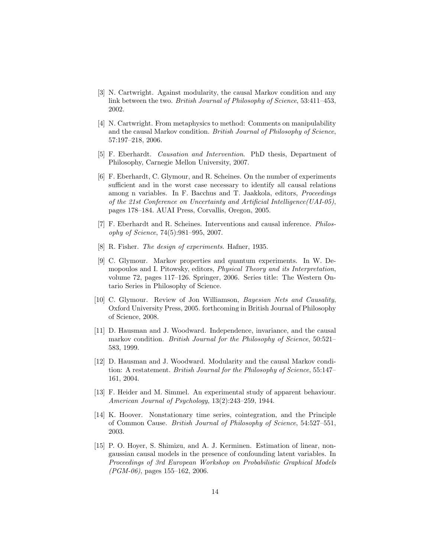- [3] N. Cartwright. Against modularity, the causal Markov condition and any link between the two. *British Journal of Philosophy of Science*, 53:411–453, 2002.
- [4] N. Cartwright. From metaphysics to method: Comments on manipulability and the causal Markov condition. *British Journal of Philosophy of Science*, 57:197–218, 2006.
- [5] F. Eberhardt. *Causation and Intervention*. PhD thesis, Department of Philosophy, Carnegie Mellon University, 2007.
- [6] F. Eberhardt, C. Glymour, and R. Scheines. On the number of experiments sufficient and in the worst case necessary to identify all causal relations among n variables. In F. Bacchus and T. Jaakkola, editors, *Proceedings of the 21st Conference on Uncertainty and Artificial Intelligence(UAI-05)*, pages 178–184. AUAI Press, Corvallis, Oregon, 2005.
- [7] F. Eberhardt and R. Scheines. Interventions and causal inference. *Philosophy of Science*, 74(5):981–995, 2007.
- [8] R. Fisher. *The design of experiments*. Hafner, 1935.
- [9] C. Glymour. Markov properties and quantum experiments. In W. Demopoulos and I. Pitowsky, editors, *Physical Theory and its Interpretation*, volume 72, pages 117–126. Springer, 2006. Series title: The Western Ontario Series in Philosophy of Science.
- [10] C. Glymour. Review of Jon Williamson, *Bayesian Nets and Causality*, Oxford University Press, 2005. forthcoming in British Journal of Philosophy of Science, 2008.
- [11] D. Hausman and J. Woodward. Independence, invariance, and the causal markov condition. *British Journal for the Philosophy of Science*, 50:521– 583, 1999.
- [12] D. Hausman and J. Woodward. Modularity and the causal Markov condition: A restatement. *British Journal for the Philosophy of Science*, 55:147– 161, 2004.
- [13] F. Heider and M. Simmel. An experimental study of apparent behaviour. *American Journal of Psychology*, 13(2):243–259, 1944.
- [14] K. Hoover. Nonstationary time series, cointegration, and the Principle of Common Cause. *British Journal of Philosophy of Science*, 54:527–551, 2003.
- [15] P. O. Hoyer, S. Shimizu, and A. J. Kerminen. Estimation of linear, nongaussian causal models in the presence of confounding latent variables. In *Proceedings of 3rd European Workshop on Probabilistic Graphical Models (PGM-06)*, pages 155–162, 2006.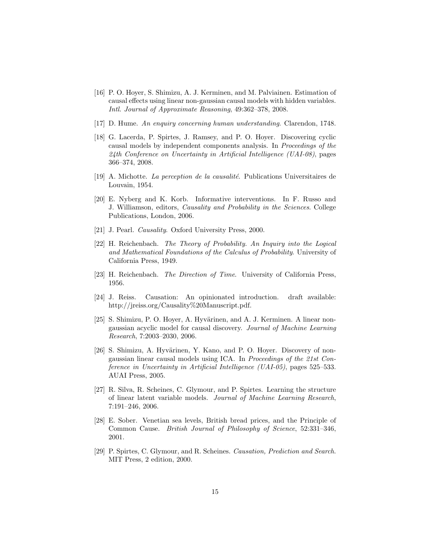- [16] P. O. Hoyer, S. Shimizu, A. J. Kerminen, and M. Palviainen. Estimation of causal effects using linear non-gaussian causal models with hidden variables. *Intl. Journal of Approximate Reasoning*, 49:362–378, 2008.
- [17] D. Hume. *An enquiry concerning human understanding*. Clarendon, 1748.
- [18] G. Lacerda, P. Spirtes, J. Ramsey, and P. O. Hoyer. Discovering cyclic causal models by independent components analysis. In *Proceedings of the 24th Conference on Uncertainty in Artificial Intelligence (UAI-08)*, pages 366–374, 2008.
- [19] A. Michotte. *La perception de la causalité*. Publications Universitaires de Louvain, 1954.
- [20] E. Nyberg and K. Korb. Informative interventions. In F. Russo and J. Williamson, editors, *Causality and Probability in the Sciences*. College Publications, London, 2006.
- [21] J. Pearl. *Causality*. Oxford University Press, 2000.
- [22] H. Reichenbach. *The Theory of Probability. An Inquiry into the Logical and Mathematical Foundations of the Calculus of Probability*. University of California Press, 1949.
- [23] H. Reichenbach. *The Direction of Time*. University of California Press, 1956.
- [24] J. Reiss. Causation: An opinionated introduction. draft available: http://jreiss.org/Causality%20Manuscript.pdf.
- [25] S. Shimizu, P. O. Hoyer, A. Hyvärinen, and A. J. Kerminen. A linear nongaussian acyclic model for causal discovery. *Journal of Machine Learning Research*, 7:2003–2030, 2006.
- [26] S. Shimizu, A. Hyvärinen, Y. Kano, and P. O. Hoyer. Discovery of nongaussian linear causal models using ICA. In *Proceedings of the 21st Conference in Uncertainty in Artificial Intelligence (UAI-05)*, pages 525–533. AUAI Press, 2005.
- [27] R. Silva, R. Scheines, C. Glymour, and P. Spirtes. Learning the structure of linear latent variable models. *Journal of Machine Learning Research*, 7:191–246, 2006.
- [28] E. Sober. Venetian sea levels, British bread prices, and the Principle of Common Cause. *British Journal of Philosophy of Science*, 52:331–346, 2001.
- [29] P. Spirtes, C. Glymour, and R. Scheines. *Causation, Prediction and Search*. MIT Press, 2 edition, 2000.